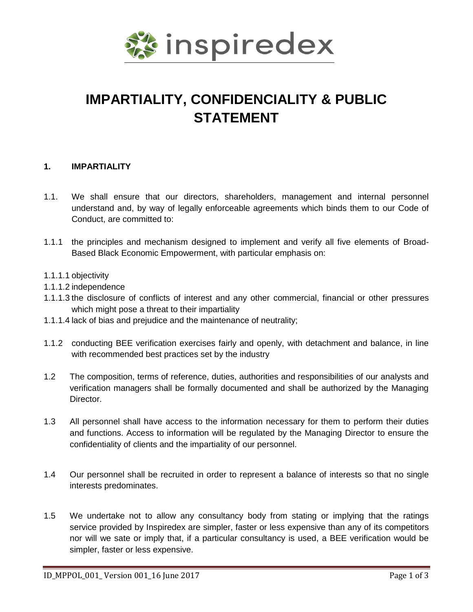

## **IMPARTIALITY, CONFIDENCIALITY & PUBLIC STATEMENT**

## **1. IMPARTIALITY**

- 1.1. We shall ensure that our directors, shareholders, management and internal personnel understand and, by way of legally enforceable agreements which binds them to our Code of Conduct, are committed to:
- 1.1.1 the principles and mechanism designed to implement and verify all five elements of Broad-Based Black Economic Empowerment, with particular emphasis on:
- 1.1.1.1 objectivity
- 1.1.1.2 independence
- 1.1.1.3 the disclosure of conflicts of interest and any other commercial, financial or other pressures which might pose a threat to their impartiality
- 1.1.1.4 lack of bias and prejudice and the maintenance of neutrality;
- 1.1.2 conducting BEE verification exercises fairly and openly, with detachment and balance, in line with recommended best practices set by the industry
- 1.2 The composition, terms of reference, duties, authorities and responsibilities of our analysts and verification managers shall be formally documented and shall be authorized by the Managing Director.
- 1.3 All personnel shall have access to the information necessary for them to perform their duties and functions. Access to information will be regulated by the Managing Director to ensure the confidentiality of clients and the impartiality of our personnel.
- 1.4 Our personnel shall be recruited in order to represent a balance of interests so that no single interests predominates.
- 1.5 We undertake not to allow any consultancy body from stating or implying that the ratings service provided by Inspiredex are simpler, faster or less expensive than any of its competitors nor will we sate or imply that, if a particular consultancy is used, a BEE verification would be simpler, faster or less expensive.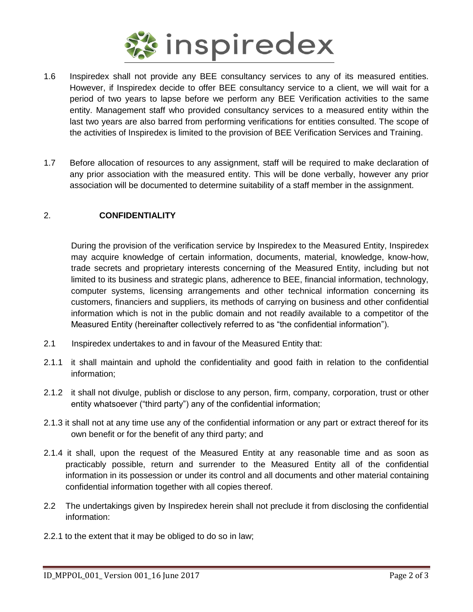

- 1.6 Inspiredex shall not provide any BEE consultancy services to any of its measured entities. However, if Inspiredex decide to offer BEE consultancy service to a client, we will wait for a period of two years to lapse before we perform any BEE Verification activities to the same entity. Management staff who provided consultancy services to a measured entity within the last two years are also barred from performing verifications for entities consulted. The scope of the activities of Inspiredex is limited to the provision of BEE Verification Services and Training.
- 1.7 Before allocation of resources to any assignment, staff will be required to make declaration of any prior association with the measured entity. This will be done verbally, however any prior association will be documented to determine suitability of a staff member in the assignment.

## 2. **CONFIDENTIALITY**

During the provision of the verification service by Inspiredex to the Measured Entity, Inspiredex may acquire knowledge of certain information, documents, material, knowledge, know-how, trade secrets and proprietary interests concerning of the Measured Entity, including but not limited to its business and strategic plans, adherence to BEE, financial information, technology, computer systems, licensing arrangements and other technical information concerning its customers, financiers and suppliers, its methods of carrying on business and other confidential information which is not in the public domain and not readily available to a competitor of the Measured Entity (hereinafter collectively referred to as "the confidential information").

- 2.1 Inspiredex undertakes to and in favour of the Measured Entity that:
- 2.1.1 it shall maintain and uphold the confidentiality and good faith in relation to the confidential information;
- 2.1.2 it shall not divulge, publish or disclose to any person, firm, company, corporation, trust or other entity whatsoever ("third party") any of the confidential information;
- 2.1.3 it shall not at any time use any of the confidential information or any part or extract thereof for its own benefit or for the benefit of any third party; and
- 2.1.4 it shall, upon the request of the Measured Entity at any reasonable time and as soon as practicably possible, return and surrender to the Measured Entity all of the confidential information in its possession or under its control and all documents and other material containing confidential information together with all copies thereof.
- 2.2 The undertakings given by Inspiredex herein shall not preclude it from disclosing the confidential information:
- 2.2.1 to the extent that it may be obliged to do so in law;